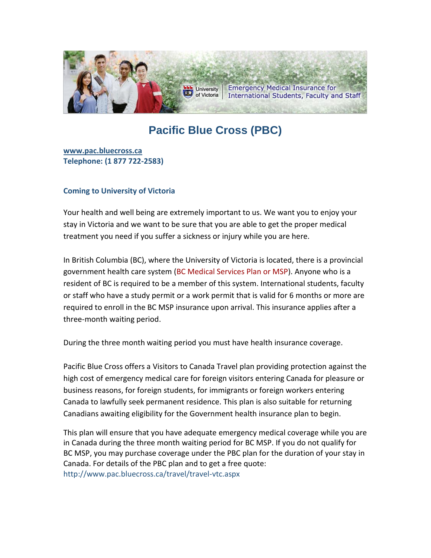

# **Pacific Blue Cross (PBC)**

**[www.pac.bluecross.ca](http://www.pac.bluecross.ca/) Telephone: (1 877 722-2583)**

### **Coming to University of Victoria**

Your health and well being are extremely important to us. We want you to enjoy your stay in Victoria and we want to be sure that you are able to get the proper medical treatment you need if you suffer a sickness or injury while you are here.

In British Columbia (BC), where the University of Victoria is located, there is a provincial government health care system [\(BC Medical Services Plan or MSP\)](http://www.healthservices.gov.bc.ca/). Anyone who is a resident of BC is required to be a member of this system. International students, faculty or staff who have a study permit or a work permit that is valid for 6 months or more are required to enroll in the BC MSP insurance upon arrival. This insurance applies after a [three-month waiting period.](http://extranet.aon.ca/uvic/index.aspx##)

During the three month waiting period you must have health insurance coverage.

Pacific Blue Cross offers a Visitors to Canada Travel plan providing protection against the high cost of emergency medical care for foreign visitors entering Canada for pleasure or business reasons, for foreign students, for immigrants or foreign workers entering Canada to lawfully seek permanent residence. This plan is also suitable for returning Canadians awaiting eligibility for the Government health insurance plan to begin.

This plan will ensure that you have adequate emergency medical coverage while you are in Canada during the three month waiting period for BC MSP. If you do not qualify for BC MSP, you may purchase coverage under the PBC plan for the duration of your stay in Canada. For details of the PBC plan and to get a free quote: <http://www.pac.bluecross.ca/travel/travel-vtc.aspx>